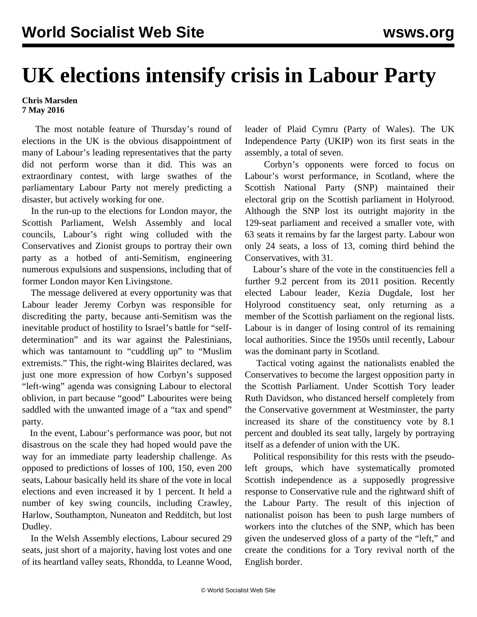## **UK elections intensify crisis in Labour Party**

## **Chris Marsden 7 May 2016**

 The most notable feature of Thursday's round of elections in the UK is the obvious disappointment of many of Labour's leading representatives that the party did not perform worse than it did. This was an extraordinary contest, with large swathes of the parliamentary Labour Party not merely predicting a disaster, but actively working for one.

 In the run-up to the elections for London mayor, the Scottish Parliament, Welsh Assembly and local councils, Labour's right wing colluded with the Conservatives and Zionist groups to portray their own party as a hotbed of anti-Semitism, engineering numerous expulsions and suspensions, including that of former London mayor Ken Livingstone.

 The message delivered at every opportunity was that Labour leader Jeremy Corbyn was responsible for discrediting the party, because anti-Semitism was the inevitable product of hostility to Israel's battle for "selfdetermination" and its war against the Palestinians, which was tantamount to "cuddling up" to "Muslim extremists." This, the right-wing Blairites declared, was just one more expression of how Corbyn's supposed "left-wing" agenda was consigning Labour to electoral oblivion, in part because "good" Labourites were being saddled with the unwanted image of a "tax and spend" party.

 In the event, Labour's performance was poor, but not disastrous on the scale they had hoped would pave the way for an immediate party leadership challenge. As opposed to predictions of losses of 100, 150, even 200 seats, Labour basically held its share of the vote in local elections and even increased it by 1 percent. It held a number of key swing councils, including Crawley, Harlow, Southampton, Nuneaton and Redditch, but lost Dudley.

 In the Welsh Assembly elections, Labour secured 29 seats, just short of a majority, having lost votes and one of its heartland valley seats, Rhondda, to Leanne Wood, leader of Plaid Cymru (Party of Wales). The UK Independence Party (UKIP) won its first seats in the assembly, a total of seven.

 Corbyn's opponents were forced to focus on Labour's worst performance, in Scotland, where the Scottish National Party (SNP) maintained their electoral grip on the Scottish parliament in Holyrood. Although the SNP lost its outright majority in the 129-seat parliament and received a smaller vote, with 63 seats it remains by far the largest party. Labour won only 24 seats, a loss of 13, coming third behind the Conservatives, with 31.

 Labour's share of the vote in the constituencies fell a further 9.2 percent from its 2011 position. Recently elected Labour leader, Kezia Dugdale, lost her Holyrood constituency seat, only returning as a member of the Scottish parliament on the regional lists. Labour is in danger of losing control of its remaining local authorities. Since the 1950s until recently, Labour was the dominant party in Scotland.

 Tactical voting against the nationalists enabled the Conservatives to become the largest opposition party in the Scottish Parliament. Under Scottish Tory leader Ruth Davidson, who distanced herself completely from the Conservative government at Westminster, the party increased its share of the constituency vote by 8.1 percent and doubled its seat tally, largely by portraying itself as a defender of union with the UK.

 Political responsibility for this rests with the pseudoleft groups, which have systematically promoted Scottish independence as a supposedly progressive response to Conservative rule and the rightward shift of the Labour Party. The result of this injection of nationalist poison has been to push large numbers of workers into the clutches of the SNP, which has been given the undeserved gloss of a party of the "left," and create the conditions for a Tory revival north of the English border.